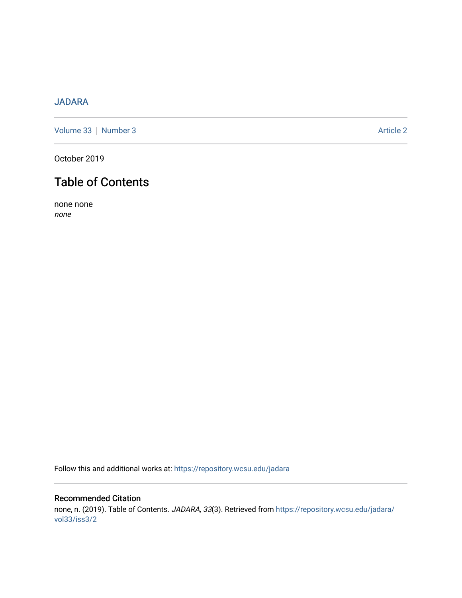### [JADARA](https://repository.wcsu.edu/jadara)

[Volume 33](https://repository.wcsu.edu/jadara/vol33) | [Number 3](https://repository.wcsu.edu/jadara/vol33/iss3) Article 2

October 2019

# Table of Contents

none none none

Follow this and additional works at: [https://repository.wcsu.edu/jadara](https://repository.wcsu.edu/jadara?utm_source=repository.wcsu.edu%2Fjadara%2Fvol33%2Fiss3%2F2&utm_medium=PDF&utm_campaign=PDFCoverPages)

### Recommended Citation none, n. (2019). Table of Contents. JADARA, 33(3). Retrieved from [https://repository.wcsu.edu/jadara/](https://repository.wcsu.edu/jadara/vol33/iss3/2?utm_source=repository.wcsu.edu%2Fjadara%2Fvol33%2Fiss3%2F2&utm_medium=PDF&utm_campaign=PDFCoverPages) [vol33/iss3/2](https://repository.wcsu.edu/jadara/vol33/iss3/2?utm_source=repository.wcsu.edu%2Fjadara%2Fvol33%2Fiss3%2F2&utm_medium=PDF&utm_campaign=PDFCoverPages)